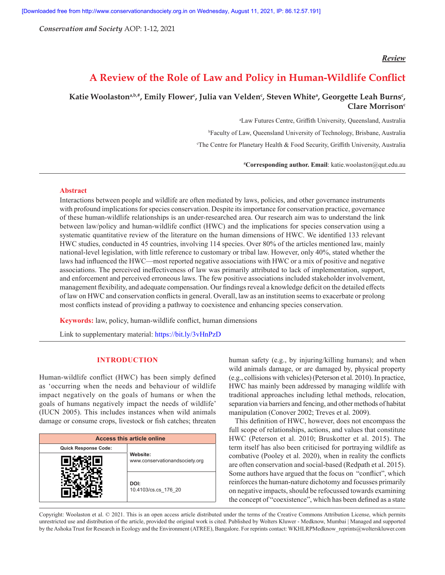*Conservation and Society* AOP: 1-12, 2021

## *Review*

# **A Review of the Role of Law and Policy in Human-Wildlife Conflict**

## Katie Woolaston<sup>a,b,#</sup>, Emily Flower<sup>c</sup>, Julia van Velden<sup>c</sup>, Steven White<sup>a</sup>, Georgette Leah Burns<sup>c</sup>, **Clare Morrison**<sup>c</sup>

a Law Futures Centre, Griffith University, Queensland, Australia b Faculty of Law, Queensland University of Technology, Brisbane, Australia c The Centre for Planetary Health & Food Security, Griffith University, Australia

**# Corresponding author. Email**: katie.woolaston@qut.edu.au

## **Abstract**

Interactions between people and wildlife are often mediated by laws, policies, and other governance instruments with profound implications for species conservation. Despite its importance for conservation practice, governance of these human-wildlife relationships is an under-researched area. Our research aim was to understand the link between law/policy and human-wildlife conflict (HWC) and the implications for species conservation using a systematic quantitative review of the literature on the human dimensions of HWC. We identified 133 relevant HWC studies, conducted in 45 countries, involving 114 species. Over 80% of the articles mentioned law, mainly national-level legislation, with little reference to customary or tribal law. However, only 40%, stated whether the laws had influenced the HWC—most reported negative associations with HWC or a mix of positive and negative associations. The perceived ineffectiveness of law was primarily attributed to lack of implementation, support, and enforcement and perceived erroneous laws. The few positive associations included stakeholder involvement, management flexibility, and adequate compensation. Our findings reveal a knowledge deficit on the detailed effects of law on HWC and conservation conflicts in general. Overall, law as an institution seems to exacerbate or prolong most conflicts instead of providing a pathway to coexistence and enhancing species conservation.

**Keywords:** law, policy, human-wildlife conflict, human dimensions

Link to supplementary material: https://bit.ly/3vHnPzD

#### **INTRODUCTION**

Human-wildlife conflict (HWC) has been simply defined as 'occurring when the needs and behaviour of wildlife impact negatively on the goals of humans or when the goals of humans negatively impact the needs of wildlife' (IUCN 2005). This includes instances when wild animals damage or consume crops, livestock or fish catches; threaten

| <b>Access this article online</b> |                                            |  |  |  |
|-----------------------------------|--------------------------------------------|--|--|--|
| <b>Quick Response Code:</b>       |                                            |  |  |  |
|                                   | Website:<br>www.conservationandsociety.org |  |  |  |
|                                   | DOI:<br>10.4103/cs.cs 176 20               |  |  |  |

human safety (e.g., by injuring/killing humans); and when wild animals damage, or are damaged by, physical property (e.g., collisions with vehicles) (Peterson et al. 2010). In practice, HWC has mainly been addressed by managing wildlife with traditional approaches including lethal methods, relocation, separation via barriers and fencing, and other methods of habitat manipulation (Conover 2002; Treves et al. 2009).

This definition of HWC, however, does not encompass the full scope of relationships, actions, and values that constitute HWC (Peterson et al. 2010; Bruskotter et al. 2015). The term itself has also been criticised for portraying wildlife as combative (Pooley et al. 2020), when in reality the conflicts are often conservation and social-based (Redpath et al. 2015). Some authors have argued that the focus on "conflict", which reinforces the human-nature dichotomy and focusses primarily on negative impacts, should be refocussed towards examining the concept of "coexistence", which has been defined as a state

Copyright: Woolaston et al. © 2021. This is an open access article distributed under the terms of the Creative Commons Attribution License, which permits unrestricted use and distribution of the article, provided the original work is cited. Published by Wolters Kluwer - Medknow, Mumbai | Managed and supported by the Ashoka Trust for Research in Ecology and the Environment (ATREE), Bangalore. For reprints contact: WKHLRPMedknow reprints@wolterskluwer.com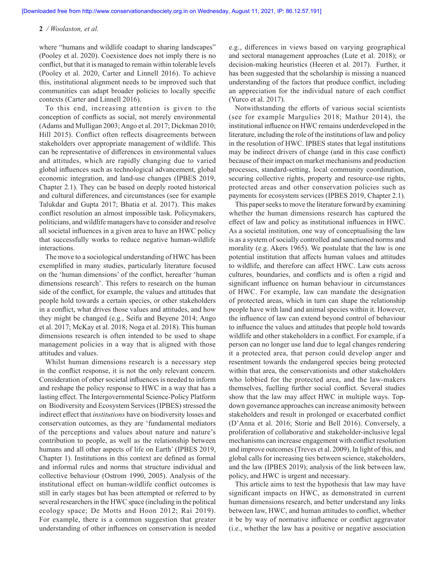where "humans and wildlife coadapt to sharing landscapes" (Pooley et al. 2020). Coexistence does not imply there is no conflict, but that it is managed to remain within tolerable levels (Pooley et al. 2020, Carter and Linnell 2016). To achieve this, institutional alignment needs to be improved such that communities can adapt broader policies to locally specific contexts (Carter and Linnell 2016).

To this end, increasing attention is given to the conception of conflicts as social, not merely environmental (Adams and Mulligan 2003; Ango et al. 2017; Dickman 2010; Hill 2015). Conflict often reflects disagreements between stakeholders over appropriate management of wildlife. This can be representative of differences in environmental values and attitudes, which are rapidly changing due to varied global influences such as technological advancement, global economic integration, and land-use changes (IPBES 2019, Chapter 2.1). They can be based on deeply rooted historical and cultural differences, and circumstances (see for example Talukdar and Gupta 2017; Bhatia et al. 2017). This makes conflict resolution an almost impossible task. Policymakers, politicians, and wildlife managers have to consider and resolve all societal influences in a given area to have an HWC policy that successfully works to reduce negative human-wildlife interactions.

The move to a sociological understanding of HWC has been exemplified in many studies, particularly literature focused on the 'human dimensions' of the conflict, hereafter 'human dimensions research'. This refers to research on the human side of the conflict, for example, the values and attitudes that people hold towards a certain species, or other stakeholders in a conflict, what drives those values and attitudes, and how they might be changed (e.g., Seifu and Beyene 2014; Ango et al. 2017; McKay et al. 2018; Noga et al. 2018). This human dimensions research is often intended to be used to shape management policies in a way that is aligned with those attitudes and values.

Whilst human dimensions research is a necessary step in the conflict response, it is not the only relevant concern. Consideration of other societal influences is needed to inform and reshape the policy response to HWC in a way that has a lasting effect. The Intergovernmental Science-Policy Platform on Biodiversity and Ecosystem Services (IPBES) stressed the indirect effect that *institutions* have on biodiversity losses and conservation outcomes, as they are 'fundamental mediators of the perceptions and values about nature and nature's contribution to people, as well as the relationship between humans and all other aspects of life on Earth' (IPBES 2019, Chapter 1). Institutions in this context are defined as formal and informal rules and norms that structure individual and collective behaviour (Ostrom 1990, 2005). Analysis of the institutional effect on human-wildlife conflict outcomes is still in early stages but has been attempted or referred to by several researchers in the HWC space (including in the political ecology space; De Motts and Hoon 2012; Rai 2019). For example, there is a common suggestion that greater understanding of other influences on conservation is needed e.g., differences in views based on varying geographical and sectoral management approaches (Lute et al. 2018); or decision-making heuristics (Heeren et al. 2017). Further, it has been suggested that the scholarship is missing a nuanced understanding of the factors that produce conflict, including an appreciation for the individual nature of each conflict (Yurco et al. 2017).

Notwithstanding the efforts of various social scientists (see for example Margulies 2018; Mathur 2014), the institutional influence on HWC remains underdeveloped in the literature, including the role of the institutions of law and policy in the resolution of HWC. IPBES states that legal institutions may be indirect drivers of change (and in this case conflict) because of their impact on market mechanisms and production processes, standard-setting, local community coordination, securing collective rights, property and resource-use rights, protected areas and other conservation policies such as payments for ecosystem services (IPBES 2019, Chapter 2.1).

This paper seeks to move the literature forward by examining whether the human dimensions research has captured the effect of law and policy as institutional influences in HWC. As a societal institution, one way of conceptualising the law is as a system of socially controlled and sanctioned norms and morality (e.g. Akers 1965). We postulate that the law is one potential institution that affects human values and attitudes to wildlife, and therefore can affect HWC. Law cuts across cultures, boundaries, and conflicts and is often a rigid and significant influence on human behaviour in circumstances of HWC. For example, law can mandate the designation of protected areas, which in turn can shape the relationship people have with land and animal species within it. However, the influence of law can extend beyond control of behaviour to influence the values and attitudes that people hold towards wildlife and other stakeholders in a conflict. For example, if a person can no longer use land due to legal changes rendering it a protected area, that person could develop anger and resentment towards the endangered species being protected within that area, the conservationists and other stakeholders who lobbied for the protected area, and the law-makers themselves, fuelling further social conflict. Several studies show that the law may affect HWC in multiple ways. Topdown governance approaches can increase animosity between stakeholders and result in prolonged or exacerbated conflict (D'Anna et al. 2016; Storie and Bell 2016). Conversely, a proliferation of collaborative and stakeholder-inclusive legal mechanisms can increase engagement with conflict resolution and improve outcomes (Treves et al. 2009). In light of this, and global calls for increasing ties between science, stakeholders, and the law (IPBES 2019); analysis of the link between law, policy, and HWC is urgent and necessary.

This article aims to test the hypothesis that law may have significant impacts on HWC, as demonstrated in current human dimensions research, and better understand any links between law, HWC, and human attitudes to conflict, whether it be by way of normative influence or conflict aggravator (i.e., whether the law has a positive or negative association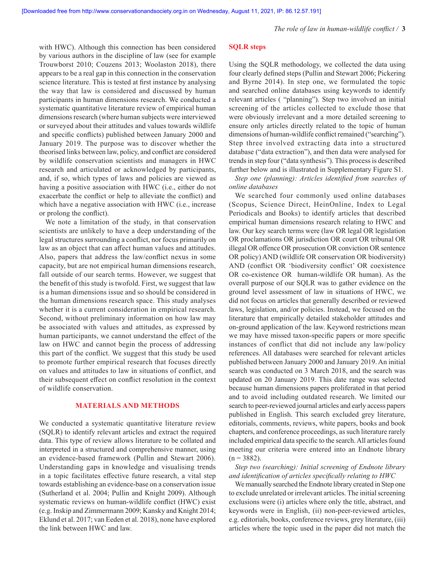with HWC). Although this connection has been considered by various authors in the discipline of law (see for example Trouwborst 2010; Couzens 2013; Woolaston 2018), there appears to be a real gap in this connection in the conservation science literature. This is tested at first instance by analysing the way that law is considered and discussed by human participants in human dimensions research. We conducted a systematic quantitative literature review of empirical human dimensions research (where human subjects were interviewed or surveyed about their attitudes and values towards wildlife and specific conflicts) published between January 2000 and January 2019. The purpose was to discover whether the theorised links between law, policy, and conflict are considered by wildlife conservation scientists and managers in HWC research and articulated or acknowledged by participants, and, if so, which types of laws and policies are viewed as having a positive association with HWC (i.e., either do not exacerbate the conflict or help to alleviate the conflict) and which have a negative association with HWC (i.e., increase or prolong the conflict).

We note a limitation of the study, in that conservation scientists are unlikely to have a deep understanding of the legal structures surrounding a conflict, nor focus primarily on law as an object that can affect human values and attitudes. Also, papers that address the law/conflict nexus in some capacity, but are not empirical human dimensions research, fall outside of our search terms. However, we suggest that the benefit of this study is twofold. First, we suggest that law is a human dimensions issue and so should be considered in the human dimensions research space. This study analyses whether it is a current consideration in empirical research. Second, without preliminary information on how law may be associated with values and attitudes, as expressed by human participants, we cannot understand the effect of the law on HWC and cannot begin the process of addressing this part of the conflict. We suggest that this study be used to promote further empirical research that focuses directly on values and attitudes to law in situations of conflict, and their subsequent effect on conflict resolution in the context of wildlife conservation.

#### **MATERIALS AND METHODS**

We conducted a systematic quantitative literature review (SQLR) to identify relevant articles and extract the required data. This type of review allows literature to be collated and interpreted in a structured and comprehensive manner, using an evidence-based framework (Pullin and Stewart 2006). Understanding gaps in knowledge and visualising trends in a topic facilitates effective future research, a vital step towards establishing an evidence-base on a conservation issue (Sutherland et al. 2004; Pullin and Knight 2009). Although systematic reviews on human-wildlife conflict (HWC) exist (e.g. Inskip and Zimmermann 2009; Kansky and Knight 2014; Eklund et al. 2017; van Eeden et al. 2018), none have explored the link between HWC and law.

## **SQLR steps**

Using the SQLR methodology, we collected the data using four clearly defined steps (Pullin and Stewart 2006; Pickering and Byrne 2014). In step one, we formulated the topic and searched online databases using keywords to identify relevant articles ( "planning"). Step two involved an initial screening of the articles collected to exclude those that were obviously irrelevant and a more detailed screening to ensure only articles directly related to the topic of human dimensions of human-wildlife conflict remained ("searching"). Step three involved extracting data into a structured database ("data extraction"), and then data were analysed for trends in step four ("data synthesis"). This process is described further below and is illustrated in Supplementary Figure S1.

*Step one (planning): Articles identified from searches of online databases*

We searched four commonly used online databases (Scopus, Science Direct, HeinOnline, Index to Legal Periodicals and Books) to identify articles that described empirical human dimensions research relating to HWC and law. Our key search terms were (law OR legal OR legislation OR proclamations OR jurisdiction OR court OR tribunal OR illegal OR offence OR prosecution OR conviction OR sentence OR policy) AND (wildlife OR conservation OR biodiversity) AND (conflict OR 'biodiversity conflict' OR coexistence OR co-existence OR human-wildlife OR human). As the overall purpose of our SQLR was to gather evidence on the ground level assessment of law in situations of HWC, we did not focus on articles that generally described or reviewed laws, legislation, and/or policies. Instead, we focused on the literature that empirically detailed stakeholder attitudes and on-ground application of the law. Keyword restrictions mean we may have missed taxon-specific papers or more specific instances of conflict that did not include any law/policy references. All databases were searched for relevant articles published between January 2000 and January 2019. An initial search was conducted on 3 March 2018, and the search was updated on 20 January 2019. This date range was selected because human dimensions papers proliferated in that period and to avoid including outdated research. We limited our search to peer-reviewed journal articles and early access papers published in English. This search excluded grey literature, editorials, comments, reviews, white papers, books and book chapters, and conference proceedings, as such literature rarely included empirical data specific to the search. All articles found meeting our criteria were entered into an Endnote library  $(n = 3882)$ .

*Step two (searching): Initial screening of Endnote library and identification of articles specifically relating to HWC*

We manually searched the Endnote library created in Step one to exclude unrelated or irrelevant articles. The initial screening exclusions were (i) articles where only the title, abstract, and keywords were in English, (ii) non-peer-reviewed articles, e.g. editorials, books, conference reviews, grey literature, (iii) articles where the topic used in the paper did not match the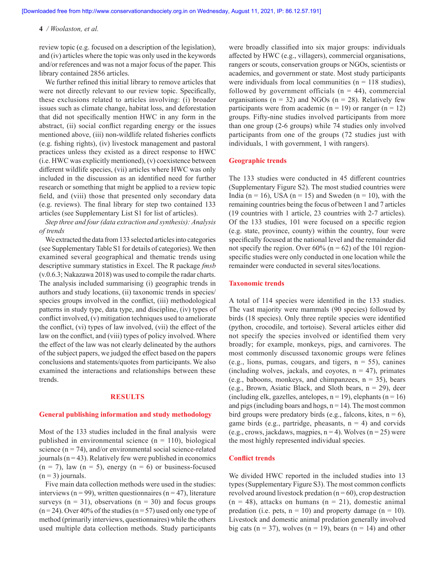review topic (e.g. focused on a description of the legislation), and (iv) articles where the topic was only used in the keywords and/or references and was not a major focus of the paper. This library contained 2856 articles.

We further refined this initial library to remove articles that were not directly relevant to our review topic. Specifically, these exclusions related to articles involving: (i) broader issues such as climate change, habitat loss, and deforestation that did not specifically mention HWC in any form in the abstract, (ii) social conflict regarding energy or the issues mentioned above, (iii) non-wildlife related fisheries conflicts (e.g. fishing rights), (iv) livestock management and pastoral practices unless they existed as a direct response to HWC (i.e. HWC was explicitly mentioned), (v) coexistence between different wildlife species, (vii) articles where HWC was only included in the discussion as an identified need for further research or something that might be applied to a review topic field, and (viii) those that presented only secondary data (e.g. reviews). The final library for step two contained 133 articles (see Supplementary List S1 for list of articles).

*Step three and four (data extraction and synthesis): Analysis of trends*

We extracted the data from 133 selected articles into categories (see Supplementary Table S1 for details of categories). We then examined several geographical and thematic trends using descriptive summary statistics in Excel. The R package *fmsb* (v.0.6.3; Nakazawa 2018) was used to compile the radar charts. The analysis included summarising (i) geographic trends in authors and study locations, (ii) taxonomic trends in species/ species groups involved in the conflict, (iii) methodological patterns in study type, data type, and discipline, (iv) types of conflict involved, (v) mitigation techniques used to ameliorate the conflict, (vi) types of law involved, (vii) the effect of the law on the conflict, and (viii) types of policy involved. Where the effect of the law was not clearly delineated by the authors of the subject papers, we judged the effect based on the papers conclusions and statements/quotes from participants. We also examined the interactions and relationships between these trends.

#### **RESULTS**

#### **General publishing information and study methodology**

Most of the 133 studies included in the final analysis were published in environmental science  $(n = 110)$ , biological science ( $n = 74$ ), and/or environmental social science-related journals  $(n = 43)$ . Relatively few were published in economics  $(n = 7)$ , law  $(n = 5)$ , energy  $(n = 6)$  or business-focused  $(n = 3)$  journals.

Five main data collection methods were used in the studies: interviews ( $n = 99$ ), written questionnaires ( $n = 47$ ), literature surveys ( $n = 31$ ), observations ( $n = 30$ ) and focus groups  $(n=24)$ . Over 40% of the studies  $(n=57)$  used only one type of method (primarily interviews, questionnaires) while the others used multiple data collection methods. Study participants

were broadly classified into six major groups: individuals affected by HWC (e.g., villagers), commercial organisations, rangers or scouts, conservation groups or NGOs, scientists or academics, and government or state. Most study participants were individuals from local communities ( $n = 118$  studies), followed by government officials  $(n = 44)$ , commercial organisations ( $n = 32$ ) and NGOs ( $n = 28$ ). Relatively few participants were from academic ( $n = 19$ ) or ranger ( $n = 12$ ) groups. Fifty-nine studies involved participants from more than one group (2-6 groups) while 74 studies only involved participants from one of the groups (72 studies just with individuals, 1 with government, 1 with rangers).

#### **Geographic trends**

The 133 studies were conducted in 45 different countries (Supplementary Figure S2). The most studied countries were India ( $n = 16$ ), USA ( $n = 15$ ) and Sweden ( $n = 10$ ), with the remaining countries being the focus of between 1 and 7 articles (19 countries with 1 article, 23 countries with 2-7 articles). Of the 133 studies, 101 were focused on a specific region (e.g. state, province, county) within the country, four were specifically focused at the national level and the remainder did not specify the region. Over  $60\%$  (n = 62) of the 101 regionspecific studies were only conducted in one location while the remainder were conducted in several sites/locations.

## **Taxonomic trends**

A total of 114 species were identified in the 133 studies. The vast majority were mammals (90 species) followed by birds (18 species). Only three reptile species were identified (python, crocodile, and tortoise). Several articles either did not specify the species involved or identified them very broadly; for example, monkeys, pigs, and carnivores. The most commonly discussed taxonomic groups were felines (e.g., lions, pumas, cougars, and tigers,  $n = 55$ ), canines (including wolves, jackals, and coyotes,  $n = 47$ ), primates (e.g., baboons, monkeys, and chimpanzees,  $n = 35$ ), bears (e.g., Brown, Asiatic Black, and Sloth bears, n = 29), deer (including elk, gazelles, antelopes,  $n = 19$ ), elephants ( $n = 16$ ) and pigs (including boars and hogs,  $n = 14$ ). The most common bird groups were predatory birds (e.g., falcons, kites,  $n = 6$ ), game birds (e.g., partridge, pheasants,  $n = 4$ ) and corvids (e.g., crows, jackdaws, magpies,  $n = 4$ ). Wolves ( $n = 25$ ) were the most highly represented individual species.

## **Conflict trends**

We divided HWC reported in the included studies into 13 types (Supplementary Figure S3). The most common conflicts revolved around livestock predation ( $n = 60$ ), crop destruction  $(n = 48)$ , attacks on humans  $(n = 21)$ , domestic animal predation (i.e. pets,  $n = 10$ ) and property damage ( $n = 10$ ). Livestock and domestic animal predation generally involved big cats ( $n = 37$ ), wolves ( $n = 19$ ), bears ( $n = 14$ ) and other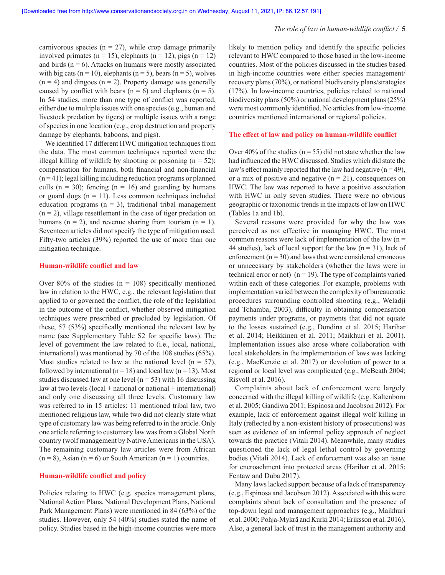carnivorous species ( $n = 27$ ), while crop damage primarily involved primates ( $n = 15$ ), elephants ( $n = 12$ ), pigs ( $n = 12$ ) and birds ( $n = 6$ ). Attacks on humans were mostly associated with big cats ( $n = 10$ ), elephants ( $n = 5$ ), bears ( $n = 5$ ), wolves  $(n = 4)$  and dingoes  $(n = 2)$ . Property damage was generally caused by conflict with bears ( $n = 6$ ) and elephants ( $n = 5$ ). In 54 studies, more than one type of conflict was reported, either due to multiple issues with one species (e.g., human and livestock predation by tigers) or multiple issues with a range of species in one location (e.g., crop destruction and property damage by elephants, baboons, and pigs).

We identified 17 different HWC mitigation techniques from the data. The most common techniques reported were the illegal killing of wildlife by shooting or poisoning  $(n = 52)$ ; compensation for humans, both financial and non-financial  $(n = 41)$ ; legal killing including reduction programs or planned culls ( $n = 30$ ); fencing ( $n = 16$ ) and guarding by humans or guard dogs ( $n = 11$ ). Less common techniques included education programs ( $n = 3$ ), traditional tribal management  $(n = 2)$ , village resettlement in the case of tiger predation on humans ( $n = 2$ ), and revenue sharing from tourism ( $n = 1$ ). Seventeen articles did not specify the type of mitigation used. Fifty-two articles (39%) reported the use of more than one mitigation technique.

#### **Human-wildlife conflict and law**

Over 80% of the studies ( $n = 108$ ) specifically mentioned law in relation to the HWC, e.g., the relevant legislation that applied to or governed the conflict, the role of the legislation in the outcome of the conflict, whether observed mitigation techniques were prescribed or precluded by legislation. Of these, 57 (53%) specifically mentioned the relevant law by name (see Supplementary Table S2 for specific laws). The level of government the law related to (i.e., local, national, international) was mentioned by 70 of the 108 studies (65%). Most studies related to law at the national level ( $n = 57$ ), followed by international ( $n = 18$ ) and local law ( $n = 13$ ). Most studies discussed law at one level ( $n = 53$ ) with 16 discussing law at two levels  $(local + national or national + international)$ and only one discussing all three levels. Customary law was referred to in 15 articles: 11 mentioned tribal law, two mentioned religious law, while two did not clearly state what type of customary law was being referred to in the article. Only one article referring to customary law was from a Global North country (wolf management by Native Americans in the USA). The remaining customary law articles were from African  $(n = 8)$ , Asian  $(n = 6)$  or South American  $(n = 1)$  countries.

## **Human-wildlife conflict and policy**

Policies relating to HWC (e.g. species management plans, National Action Plans, National Development Plans, National Park Management Plans) were mentioned in 84 (63%) of the studies. However, only 54 (40%) studies stated the name of policy. Studies based in the high-income countries were more likely to mention policy and identify the specific policies relevant to HWC compared to those based in the low-income countries. Most of the policies discussed in the studies based in high-income countries were either species management/ recovery plans (70%), or national biodiversity plans/strategies (17%). In low-income countries, policies related to national biodiversity plans (50%) or national development plans (25%) were most commonly identified. No articles from low-income countries mentioned international or regional policies.

#### **The effect of law and policy on human-wildlife conflict**

Over 40% of the studies ( $n = 55$ ) did not state whether the law had influenced the HWC discussed. Studies which did state the law's effect mainly reported that the law had negative  $(n = 49)$ , or a mix of positive and negative  $(n = 21)$ , consequences on HWC. The law was reported to have a positive association with HWC in only seven studies. There were no obvious geographic or taxonomic trends in the impacts of law on HWC (Tables 1a and 1b).

Several reasons were provided for why the law was perceived as not effective in managing HWC. The most common reasons were lack of implementation of the law  $(n =$ 44 studies), lack of local support for the law  $(n = 31)$ , lack of enforcement ( $n = 30$ ) and laws that were considered erroneous or unnecessary by stakeholders (whether the laws were in technical error or not) ( $n = 19$ ). The type of complaints varied within each of these categories. For example, problems with implementation varied between the complexity of bureaucratic procedures surrounding controlled shooting (e.g., Weladji and Tchamba, 2003), difficulty in obtaining compensation payments under programs, or payments that did not equate to the losses sustained (e.g., Dondina et al. 2015; Harihar et al. 2014; Heikkinen et al. 2011; Maikhuri et al. 2001). Implementation issues also arose where collaboration with local stakeholders in the implementation of laws was lacking (e.g., MacKenzie et al. 2017) or devolution of power to a regional or local level was complicated (e.g., McBeath 2004; Risvoll et al. 2016).

Complaints about lack of enforcement were largely concerned with the illegal killing of wildlife (e.g. Kaltenborn et al. 2005; Gandiwa 2011; Espinosa and Jacobson 2012). For example, lack of enforcement against illegal wolf killing in Italy (reflected by a non-existent history of prosecutions) was seen as evidence of an informal policy approach of neglect towards the practice (Vitali 2014). Meanwhile, many studies questioned the lack of legal lethal control by governing bodies (Vitali 2014). Lack of enforcement was also an issue for encroachment into protected areas (Harihar et al. 2015; Fentaw and Duba 2017).

Many laws lacked support because of a lack of transparency (e.g., Espinosa and Jacobson 2012). Associated with this were complaints about lack of consultation and the presence of top-down legal and management approaches (e.g., Maikhuri et al. 2000; Pohja-Mykrä and Kurki 2014; Eriksson et al. 2016). Also, a general lack of trust in the management authority and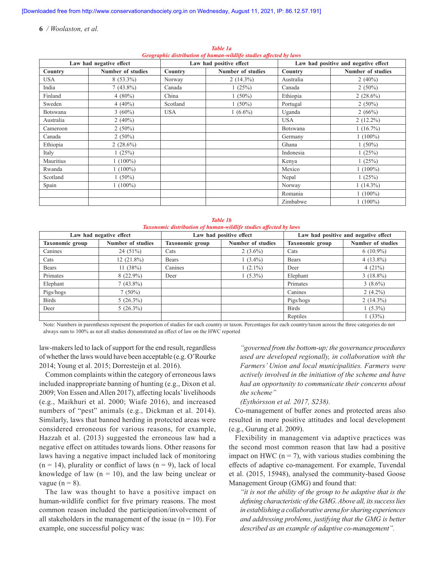| $\sigma$ , $\sigma$ , $\sigma$ , $\sigma$ , $\sigma$ , $\sigma$ , $\sigma$ , $\sigma$ , $\sigma$ , $\sigma$ , $\sigma$ , $\sigma$ , $\sigma$ , $\sigma$ , $\sigma$ , $\sigma$ , $\sigma$ , $\sigma$ , $\sigma$ , $\sigma$ , $\sigma$ , $\sigma$ , $\sigma$ , $\sigma$ , $\sigma$ , $\sigma$ , $\sigma$ , $\sigma$ , $\sigma$ , $\sigma$ , $\sigma$ , $\sigma$ , $\sigma$ , $\sigma$ , $\sigma$ , $\sigma$ , $\sigma$ , |                          |            |                         |            |                                      |  |  |
|------------------------------------------------------------------------------------------------------------------------------------------------------------------------------------------------------------------------------------------------------------------------------------------------------------------------------------------------------------------------------------------------------------------------|--------------------------|------------|-------------------------|------------|--------------------------------------|--|--|
| Law had negative effect                                                                                                                                                                                                                                                                                                                                                                                                |                          |            | Law had positive effect |            | Law had positive and negative effect |  |  |
| Country                                                                                                                                                                                                                                                                                                                                                                                                                | <b>Number of studies</b> | Country    | Number of studies       | Country    | <b>Number of studies</b>             |  |  |
| USA                                                                                                                                                                                                                                                                                                                                                                                                                    | $8(53.3\%)$              | Norway     | $2(14.3\%)$             | Australia  | 2 $(40\%)$                           |  |  |
| India                                                                                                                                                                                                                                                                                                                                                                                                                  | $7(43.8\%)$              | Canada     | 1(25%)                  | Canada     | $2(50\%)$                            |  |  |
| Finland                                                                                                                                                                                                                                                                                                                                                                                                                | 4 $(80\%)$               | China      | $1(50\%)$               | Ethiopia   | $2(28.6\%)$                          |  |  |
| Sweden                                                                                                                                                                                                                                                                                                                                                                                                                 | $4(40\%)$                | Scotland   | $1(50\%)$               | Portugal   | $2(50\%)$                            |  |  |
| Botswana                                                                                                                                                                                                                                                                                                                                                                                                               | $3(60\%)$                | <b>USA</b> | $1(6.6\%)$              | Uganda     | 2 $(66%)$                            |  |  |
| Australia                                                                                                                                                                                                                                                                                                                                                                                                              | $2(40\%)$                |            |                         | <b>USA</b> | $2(12.2\%)$                          |  |  |
| Cameroon                                                                                                                                                                                                                                                                                                                                                                                                               | $2(50\%)$                |            |                         | Botswana   | $1(16.7\%)$                          |  |  |
| Canada                                                                                                                                                                                                                                                                                                                                                                                                                 | $2(50\%)$                |            |                         | Germany    | $1(100\%)$                           |  |  |
| Ethiopia                                                                                                                                                                                                                                                                                                                                                                                                               | 2 $(28.6\%)$             |            |                         | Ghana      | $1(50\%)$                            |  |  |
| Italy                                                                                                                                                                                                                                                                                                                                                                                                                  | 1(25%)                   |            |                         | Indonesia  | 1(25%)                               |  |  |
| Mauritius                                                                                                                                                                                                                                                                                                                                                                                                              | $1(100\%)$               |            |                         | Kenya      | 1(25%)                               |  |  |
| Rwanda                                                                                                                                                                                                                                                                                                                                                                                                                 | $1(100\%)$               |            |                         | Mexico     | $1(100\%)$                           |  |  |
| Scotland                                                                                                                                                                                                                                                                                                                                                                                                               | $1(50\%)$                |            |                         | Nepal      | 1(25%)                               |  |  |
| Spain                                                                                                                                                                                                                                                                                                                                                                                                                  | $1(100\%)$               |            |                         | Norway     | $1(14.3\%)$                          |  |  |
|                                                                                                                                                                                                                                                                                                                                                                                                                        |                          |            |                         | Romania    | $1(100\%)$                           |  |  |
|                                                                                                                                                                                                                                                                                                                                                                                                                        |                          |            |                         | Zimbabwe   | $1(100\%)$                           |  |  |

*Table 1a Geographic distribution of human‑wildlife studies affected by laws*

|                                                                   | Table 1b |  |
|-------------------------------------------------------------------|----------|--|
| Taxonomic distribution of human-wildlife studies affected by laws |          |  |

| Law had negative effect |                          | Law had positive effect |                          | Law had positive and negative effect |                          |
|-------------------------|--------------------------|-------------------------|--------------------------|--------------------------------------|--------------------------|
| Taxonomic group         | <b>Number of studies</b> | <b>Taxonomic group</b>  | <b>Number of studies</b> | Taxonomic group                      | <b>Number of studies</b> |
| Canines                 | 24(51%)                  | Cats                    | $2(3.6\%)$               | Cats                                 | $6(10.9\%)$              |
| Cats                    | $12(21.8\%)$             | <b>Bears</b>            | $(3.4\%)$                | <b>Bears</b>                         | $4(13.8\%)$              |
| <b>Bears</b>            | 11(38%)                  | Canines                 | $(2.1\%)$                | Deer                                 | 4(21%)                   |
| Primates                | $8(22.9\%)$              | Deer                    | $1(5.3\%)$               | Elephant                             | $3(18.8\%)$              |
| Elephant                | $7(43.8\%)$              |                         |                          | Primates                             | $3(8.6\%)$               |
| Pigs/hogs               | $7(50\%)$                |                         |                          | Canines                              | $2(4.2\%)$               |
| <b>Birds</b>            | $5(26.3\%)$              |                         |                          | Pigs/hogs                            | $2(14.3\%)$              |
| Deer                    | $5(26.3\%)$              |                         |                          | <b>Birds</b>                         | $1(5.3\%)$               |
|                         |                          |                         |                          | Reptiles                             | (33%)                    |

Note: Numbers in parentheses represent the proportion of studies for each country or taxon. Percentages for each country/taxon across the three categories do not always sum to 100% as not all studies demonstrated an effect of law on the HWC reported

law-makers led to lack of support for the end result, regardless of whether the laws would have been acceptable (e.g. O'Rourke 2014; Young et al. 2015; Dorresteijn et al. 2016).

Common complaints within the category of erroneous laws included inappropriate banning of hunting (e.g., Dixon et al. 2009; Von Essen and Allen 2017), affecting locals' livelihoods (e.g., Maikhuri et al. 2000; Wiafe 2016), and increased numbers of "pest" animals (e.g., Dickman et al. 2014). Similarly, laws that banned herding in protected areas were considered erroneous for various reasons, for example, Hazzah et al. (2013) suggested the erroneous law had a negative effect on attitudes towards lions. Other reasons for laws having a negative impact included lack of monitoring  $(n = 14)$ , plurality or conflict of laws  $(n = 9)$ , lack of local knowledge of law  $(n = 10)$ , and the law being unclear or vague ( $n = 8$ ).

The law was thought to have a positive impact on human-wildlife conflict for five primary reasons. The most common reason included the participation/involvement of all stakeholders in the management of the issue  $(n = 10)$ . For example, one successful policy was:

*"governed from the bottom-up; the governance procedures used are developed regionally, in collaboration with the Farmers' Union and local municipalities. Farmers were actively involved in the initiation of the scheme and have had an opportunity to communicate their concerns about the scheme"* 

#### *(Eythórsson et al. 2017, S238).*

Co-management of buffer zones and protected areas also resulted in more positive attitudes and local development (e.g., Gurung et al. 2009).

Flexibility in management via adaptive practices was the second most common reason that law had a positive impact on HWC ( $n = 7$ ), with various studies combining the effects of adaptive co-management. For example, Tuvendal et al. (2015, 15948), analysed the community-based Goose Management Group (GMG) and found that:

*"it is not the ability of the group to be adaptive that is the defining characteristic of the GMG. Above all, its success lies in establishing a collaborative arena for sharing experiences and addressing problems, justifying that the GMG is better described as an example of adaptive co-management".*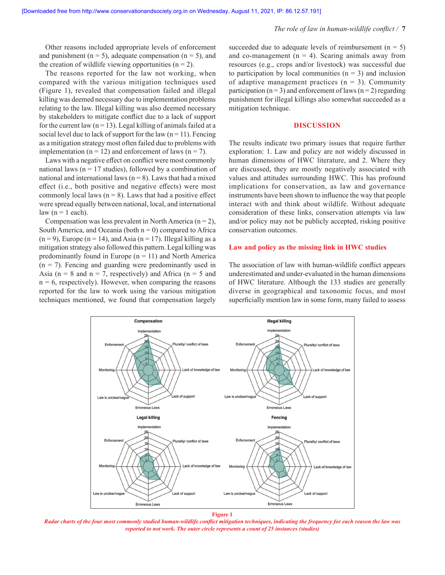Other reasons included appropriate levels of enforcement and punishment ( $n = 5$ ), adequate compensation ( $n = 5$ ), and the creation of wildlife viewing opportunities  $(n = 2)$ .

The reasons reported for the law not working, when compared with the various mitigation techniques used (Figure 1), revealed that compensation failed and illegal killing was deemed necessary due to implementation problems relating to the law. Illegal killing was also deemed necessary by stakeholders to mitigate conflict due to a lack of support for the current law ( $n = 13$ ). Legal killing of animals failed at a social level due to lack of support for the law  $(n = 11)$ . Fencing as a mitigation strategy most often failed due to problems with implementation ( $n = 12$ ) and enforcement of laws ( $n = 7$ ).

Laws with a negative effect on conflict were most commonly national laws ( $n = 17$  studies), followed by a combination of national and international laws  $(n = 8)$ . Laws that had a mixed effect (i.e., both positive and negative effects) were most commonly local laws  $(n = 8)$ . Laws that had a positive effect were spread equally between national, local, and international law  $(n = 1$  each).

Compensation was less prevalent in North America  $(n = 2)$ , South America, and Oceania (both  $n = 0$ ) compared to Africa  $(n = 9)$ , Europe  $(n = 14)$ , and Asia  $(n = 17)$ . Illegal killing as a mitigation strategy also followed this pattern. Legal killing was predominantly found in Europe  $(n = 11)$  and North America  $(n = 7)$ . Fencing and guarding were predominantly used in Asia ( $n = 8$  and  $n = 7$ , respectively) and Africa ( $n = 5$  and  $n = 6$ , respectively). However, when comparing the reasons reported for the law to work using the various mitigation techniques mentioned, we found that compensation largely succeeded due to adequate levels of reimbursement  $(n = 5)$ and co-management  $(n = 4)$ . Scaring animals away from resources (e.g., crops and/or livestock) was successful due to participation by local communities  $(n = 3)$  and inclusion of adaptive management practices  $(n = 3)$ . Community participation ( $n = 3$ ) and enforcement of laws ( $n = 2$ ) regarding punishment for illegal killings also somewhat succeeded as a mitigation technique.

#### **DISCUSSION**

The results indicate two primary issues that require further exploration: 1. Law and policy are not widely discussed in human dimensions of HWC literature, and 2. Where they are discussed, they are mostly negatively associated with values and attitudes surrounding HWC. This has profound implications for conservation, as law and governance instruments have been shown to influence the way that people interact with and think about wildlife. Without adequate consideration of these links, conservation attempts via law and/or policy may not be publicly accepted, risking positive conservation outcomes.

## **Law and policy as the missing link in HWC studies**

The association of law with human-wildlife conflict appears underestimated and under-evaluated in the human dimensions of HWC literature. Although the 133 studies are generally diverse in geographical and taxonomic focus, and most superficially mention law in some form, many failed to assess



**Figure 1**

*Radar charts of the four most commonly studied human-wildlife conflict mitigation techniques, indicating the frequency for each reason the law was reported to not work. The outer circle represents a count of 25 instances (studies)*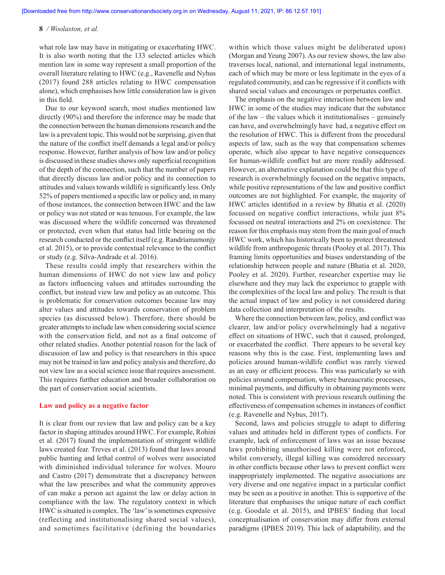what role law may have in mitigating or exacerbating HWC. It is also worth noting that the 133 selected articles which mention law in some way represent a small proportion of the overall literature relating to HWC (e.g., Ravenelle and Nyhus (2017) found 288 articles relating to HWC compensation alone), which emphasises how little consideration law is given in this field.

Due to our keyword search, most studies mentioned law directly (90%) and therefore the inference may be made that the connection between the human dimensions research and the law is a prevalent topic. This would not be surprising, given that the nature of the conflict itself demands a legal and/or policy response. However, further analysis of how law and/or policy is discussed in these studies shows only superficial recognition of the depth of the connection, such that the number of papers that directly discuss law and/or policy and its connection to attitudes and values towards wildlife is significantly less. Only 52% of papers mentioned a specific law or policy and, in many of those instances, the connection between HWC and the law or policy was not stated or was tenuous. For example, the law was discussed where the wildlife concerned was threatened or protected, even when that status had little bearing on the research conducted or the conflict itself (e.g. Randriamamonjy et al. 2015), or to provide contextual relevance to the conflict or study (e.g. Silva-Andrade et al. 2016).

These results could imply that researchers within the human dimensions of HWC do not view law and policy as factors influencing values and attitudes surrounding the conflict, but instead view law and policy as an outcome. This is problematic for conservation outcomes because law may alter values and attitudes towards conservation of problem species (as discussed below). Therefore, there should be greater attempts to include law when considering social science with the conservation field, and not as a final outcome of other related studies. Another potential reason for the lack of discussion of law and policy is that researchers in this space may not be trained in law and policy analysis and therefore, do not view law as a social science issue that requires assessment. This requires further education and broader collaboration on the part of conservation social scientists.

## **Law and policy as a negative factor**

It is clear from our review that law and policy can be a key factor in shaping attitudes around HWC. For example, Rohini et al. (2017) found the implementation of stringent wildlife laws created fear. Treves et al. (2013) found that laws around public hunting and lethal control of wolves were associated with diminished individual tolerance for wolves. Mouro and Castro (2017) demonstrate that a discrepancy between what the law prescribes and what the community approves of can make a person act against the law or delay action in compliance with the law. The regulatory context in which HWC is situated is complex. The 'law' is sometimes expressive (reflecting and institutionalising shared social values), and sometimes facilitative (defining the boundaries within which those values might be deliberated upon) (Morgan and Yeung 2007). As our review shows, the law also traverses local, national, and international legal instruments, each of which may be more or less legitimate in the eyes of a regulated community, and can be regressive if it conflicts with shared social values and encourages or perpetuates conflict.

The emphasis on the negative interaction between law and HWC in some of the studies may indicate that the substance of the law – the values which it institutionalises – genuinely can have, and overwhelmingly have had, a negative effect on the resolution of HWC. This is different from the procedural aspects of law, such as the way that compensation schemes operate, which also appear to have negative consequences for human-wildlife conflict but are more readily addressed. However, an alternative explanation could be that this type of research is overwhelmingly focused on the negative impacts, while positive representations of the law and positive conflict outcomes are not highlighted. For example, the majority of HWC articles identified in a review by Bhatia et al. (2020) focussed on negative conflict interactions, while just 8% focussed on neutral interactions and 2% on coexistence. The reason for this emphasis may stem from the main goal of much HWC work, which has historically been to protect threatened wildlife from anthropogenic threats (Pooley et al. 2017). This framing limits opportunities and biases understanding of the relationship between people and nature (Bhatia et al. 2020, Pooley et al. 2020). Further, researcher expertise may lie elsewhere and they may lack the experience to grapple with the complexities of the local law and policy. The result is that the actual impact of law and policy is not considered during data collection and interpretation of the results.

Where the connection between law, policy, and conflict was clearer, law and/or policy overwhelmingly had a negative effect on situations of HWC, such that it caused, prolonged, or exacerbated the conflict. There appears to be several key reasons why this is the case. First, implementing laws and policies around human-wildlife conflict was rarely viewed as an easy or efficient process. This was particularly so with policies around compensation, where bureaucratic processes, minimal payments, and difficulty in obtaining payments were noted. This is consistent with previous research outlining the effectiveness of compensation schemes in instances of conflict (e.g. Ravenelle and Nyhus, 2017).

Second, laws and policies struggle to adapt to differing values and attitudes held in different types of conflicts. For example, lack of enforcement of laws was an issue because laws prohibiting unauthorised killing were not enforced, whilst conversely, illegal killing was considered necessary in other conflicts because other laws to prevent conflict were inappropriately implemented. The negative associations are very diverse and one negative impact in a particular conflict may be seen as a positive in another. This is supportive of the literature that emphasises the unique nature of each conflict (e.g. Goodale et al. 2015), and IPBES' finding that local conceptualisation of conservation may differ from external paradigms (IPBES 2019). This lack of adaptability, and the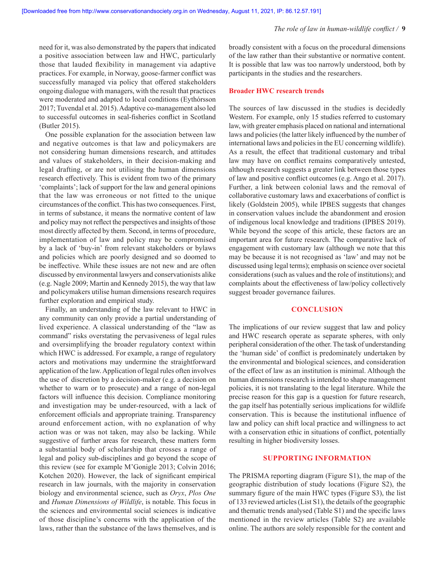need for it, was also demonstrated by the papers that indicated a positive association between law and HWC, particularly those that lauded flexibility in management via adaptive practices. For example, in Norway, goose-farmer conflict was successfully managed via policy that offered stakeholders ongoing dialogue with managers, with the result that practices were moderated and adapted to local conditions (Eythórsson 2017; Tuvendal et al. 2015). Adaptive co-management also led to successful outcomes in seal-fisheries conflict in Scotland (Butler 2015).

One possible explanation for the association between law and negative outcomes is that law and policymakers are not considering human dimensions research, and attitudes and values of stakeholders, in their decision-making and legal drafting, or are not utilising the human dimensions research effectively. This is evident from two of the primary 'complaints'; lack of support for the law and general opinions that the law was erroneous or not fitted to the unique circumstances of the conflict. This has two consequences. First, in terms of substance, it means the normative content of law and policy may not reflect the perspectives and insights of those most directly affected by them. Second, in terms of procedure, implementation of law and policy may be compromised by a lack of 'buy-in' from relevant stakeholders or bylaws and policies which are poorly designed and so doomed to be ineffective. While these issues are not new and are often discussed by environmental lawyers and conservationists alike (e.g. Nagle 2009; Martin and Kennedy 2015), the way that law and policymakers utilise human dimensions research requires further exploration and empirical study.

Finally, an understanding of the law relevant to HWC in any community can only provide a partial understanding of lived experience. A classical understanding of the "law as command" risks overstating the pervasiveness of legal rules and oversimplifying the broader regulatory context within which HWC is addressed. For example, a range of regulatory actors and motivations may undermine the straightforward application of the law. Application of legal rules often involves the use of discretion by a decision-maker (e.g. a decision on whether to warn or to prosecute) and a range of non-legal factors will influence this decision. Compliance monitoring and investigation may be under-resourced, with a lack of enforcement officials and appropriate training. Transparency around enforcement action, with no explanation of why action was or was not taken, may also be lacking. While suggestive of further areas for research, these matters form a substantial body of scholarship that crosses a range of legal and policy sub-disciplines and go beyond the scope of this review (see for example M'Gonigle 2013; Colvin 2016; Kotchen 2020). However, the lack of significant empirical research in law journals, with the majority in conservation biology and environmental science, such as *Oryx*, *Plos One* and *Human Dimensions of Wildlife*, is notable. This focus in the sciences and environmental social sciences is indicative of those discipline's concerns with the application of the laws, rather than the substance of the laws themselves, and is

broadly consistent with a focus on the procedural dimensions of the law rather than their substantive or normative content. It is possible that law was too narrowly understood, both by participants in the studies and the researchers.

#### **Broader HWC research trends**

The sources of law discussed in the studies is decidedly Western. For example, only 15 studies referred to customary law, with greater emphasis placed on national and international laws and policies (the latter likely influenced by the number of international laws and policies in the EU concerning wildlife). As a result, the effect that traditional customary and tribal law may have on conflict remains comparatively untested, although research suggests a greater link between those types of law and positive conflict outcomes (e.g. Ango et al. 2017). Further, a link between colonial laws and the removal of collaborative customary laws and exacerbations of conflict is likely (Goldstein 2005), while IPBES suggests that changes in conservation values include the abandonment and erosion of indigenous local knowledge and traditions (IPBES 2019). While beyond the scope of this article, these factors are an important area for future research. The comparative lack of engagement with customary law (although we note that this may be because it is not recognised as 'law' and may not be discussed using legal terms); emphasis on science over societal considerations (such as values and the role of institutions); and complaints about the effectiveness of law/policy collectively suggest broader governance failures.

## **CONCLUSION**

The implications of our review suggest that law and policy and HWC research operate as separate spheres, with only peripheral consideration of the other. The task of understanding the 'human side' of conflict is predominately undertaken by the environmental and biological sciences, and consideration of the effect of law as an institution is minimal. Although the human dimensions research is intended to shape management policies, it is not translating to the legal literature. While the precise reason for this gap is a question for future research, the gap itself has potentially serious implications for wildlife conservation. This is because the institutional influence of law and policy can shift local practice and willingness to act with a conservation ethic in situations of conflict, potentially resulting in higher biodiversity losses.

## **SUPPORTING INFORMATION**

The PRISMA reporting diagram (Figure S1), the map of the geographic distribution of study locations (Figure S2), the summary figure of the main HWC types (Figure S3), the list of 133 reviewed articles (List S1), the details of the geographic and thematic trends analysed (Table S1) and the specific laws mentioned in the review articles (Table S2) are available online. The authors are solely responsible for the content and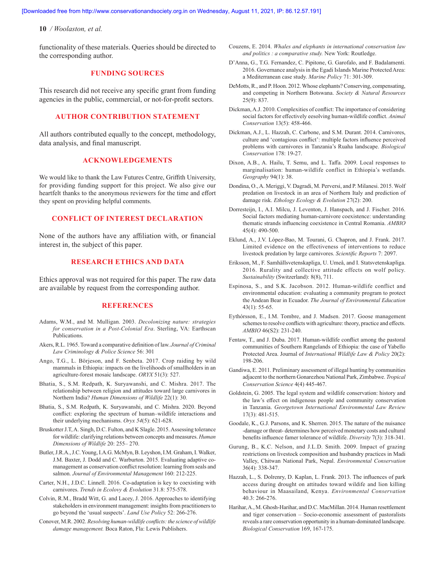functionality of these materials. Queries should be directed to the corresponding author.

## **FUNDING SOURCES**

This research did not receive any specific grant from funding agencies in the public, commercial, or not-for-profit sectors.

## **AUTHOR CONTRIBUTION STATEMENT**

All authors contributed equally to the concept, methodology, data analysis, and final manuscript.

## **ACKNOWLEDGEMENTS**

We would like to thank the Law Futures Centre, Griffith University, for providing funding support for this project. We also give our heartfelt thanks to the anonymous reviewers for the time and effort they spent on providing helpful comments.

## **CONFLICT OF INTEREST DECLARATION**

None of the authors have any affiliation with, or financial interest in, the subject of this paper.

## **RESEARCH ETHICS AND DATA**

Ethics approval was not required for this paper. The raw data are available by request from the corresponding author.

#### **REFERENCES**

- Adams, W.M., and M. Mulligan. 2003. *Decolonizing nature: strategies for conservation in a Post-Colonial Era*. Sterling, VA: Earthscan Publications.
- Akers, R.L. 1965. Toward a comparative definition of law. *Journal of Criminal Law Criminology & Police Science* 56: 301
- Ango, T.G., L. Börjeson, and F. Senbeta. 2017. Crop raiding by wild mammals in Ethiopia: impacts on the livelihoods of smallholders in an agriculture-forest mosaic landscape. *ORYX* 51(3): 527.
- Bhatia, S., S.M. Redpath, K. Suryawanshi, and C. Mishra. 2017. The relationship between religion and attitudes toward large carnivores in Northern India? *Human Dimensions of Wildlife* 22(1): 30.
- Bhatia, S., S.M. Redpath, K. Suryawanshi, and C. Mishra. 2020. Beyond conflict: exploring the spectrum of human–wildlife interactions and their underlying mechanisms. *Oryx 54*(5): 621-628.
- Bruskotter J.T, A. Singh, D.C. Fulton, and K Slagle. 2015. Assessing tolerance for wildlife: clarifying relations between concepts and measures. *Human Dimensions of Wildlife* 20: 255– 270.
- Butler, J.R.A., J.C. Young, I.A.G. McMyn, B. Leyshon, I.M. Graham, I. Walker, J.M. Baxter, J. Dodd and C. Warburton. 2015. Evaluating adaptive comanagement as conservation conflict resolution: learning from seals and salmon. *Journal of Environmental Management* 160: 212-225.
- Carter, N.H., J.D.C. Linnell. 2016. Co-adaptation is key to coexisting with carnivores. *Trends in Ecolovy & Evolution* 31.8: 575-578.
- Colvin, R.M., Bradd Witt, G. and Lacey, J. 2016. Approaches to identifying stakeholders in environment management: insights from practitioners to go beyond the 'usual suspects'. *Land Use Policy* 52: 266-276.
- Conover, M.R. 2002. *Resolving human-wildlife conflicts: the science of wildlife damage management.* Boca Raton, Fla: Lewis Publishers.
- Couzens, E. 2014. *Whales and elephants in international conservation law and politics : a comparative study.* New York: Routledge.
- D'Anna, G., T.G. Fernandez, C. Pipitone, G. Garofalo, and F. Badalamenti. 2016. Governance analysis in the Egadi Islands Marine Protected Area: a Mediterranean case study. *Marine Policy* 71: 301-309.
- DeMotts, R., and P. Hoon. 2012. Whose elephants? Conserving, compensating, and competing in Northern Botswana. *Society & Natural Resources* 25(9): 837.
- Dickman, A.J. 2010. Complexities of conflict: The importance of considering social factors for effectively eesolving human-wildlife conflict. *Animal Conservation* 13(5): 458-466.
- Dickman, A.J., L. Hazzah, C. Carbone, and S.M. Durant. 2014. Carnivores, culture and 'contagious conflict': multiple factors influence perceived problems with carnivores in Tanzania's Ruaha landscape. *Biological Conservation* 178: 19-27.
- Dixon, A.B., A. Hailu, T. Semu, and L. Taffa. 2009. Local responses to marginalisation: human-wildlife conflict in Ethiopia's wetlands. *Geography* 94(1): 38.
- Dondina, O., A. Meriggi, V. Dagradi, M. Perversi, and P. Milanesi. 2015. Wolf predation on livestock in an area of Northern Italy and prediction of damage risk. *Ethology Ecology & Evolution* 27(2): 200.
- Dorresteijn, I., A.I. Milcu, J. Leventon, J. Hanspach, and J. Fischer. 2016. Social factors mediating human-carnivore coexistence: understanding thematic strands influencing coexistence in Central Romania. *AMBIO* 45(4): 490-500.
- Eklund, A., J.V. López-Bao, M. Tourani, G. Chapron, and J. Frank. 2017. Limited evidence on the effectiveness of interventions to reduce livestock predation by large carnivores. *Scientific Reports* 7: 2097.
- Eriksson, M., F. Samhällsvetenskapliga, U. Umeå, and I. Statsvetenskapliga. 2016. Rurality and collective attitude effects on wolf policy. *Sustainability* (Switzerland): 8(8), 711.
- Espinosa, S., and S.K. Jacobson. 2012. Human-wildlife conflict and environmental education: evaluating a community program to protect the Andean Bear in Ecuador. *The Journal of Environmental Education* 43(1): 55-65.
- Eythórsson, E., I.M. Tombre, and J. Madsen. 2017. Goose management schemes to resolve conflicts with agriculture: theory, practice and effects. *AMBIO* 46(S2): 231-240.
- Fentaw, T., and J. Duba. 2017. Human-wildlife conflict among the pastoral communities of Southern Rangelands of Ethiopia: the case of Yabello Protected Area. Journal of *International Wildlife Law & Policy* 20(2): 198-206.
- Gandiwa, E. 2011. Preliminary assessment of illegal hunting by communities adjacent to the northern Gonarezhou National Park, Zimbabwe. *Tropical Conservation Science* 4(4) 445-467.
- Goldstein, G. 2005. The legal system and wildlife conservation: history and the law's effect on indigenous people and community conservation in Tanzania. *Georgetown International Environmental Law Review* 17(3): 481-515.
- Goodale, K., G.J. Parsons, and K. Sherren. 2015. The nature of the nuisance -damage or threat- determines how perceived monetary costs and cultural benefits influence famer tolerance of wildlife. *Diversity* 7(3): 318-341.
- Gurung, B., K.C. Nelson, and J.L.D. Smith. 2009. Impact of grazing restrictions on livestock composition and husbandry practices in Madi Valley, Chitwan National Park, Nepal. *Environmental Conservation* 36(4): 338-347.
- Hazzah, L., S. Dolrenry, D. Kaplan, L. Frank. 2013. The influences of park access during drought on attitudes toward wildife and lion killing behaviour in Maasailand, Kenya. *Environmental Conservation* 40.3: 266-276.
- Harihar, A., M. Ghosh-Harihar, and D.C. MacMillan. 2014. Human resettlement and tiger conservation – Socio-economic assessment of pastoralists reveals a rare conservation opportunity in a human-dominated landscape. *Biological Conservation* 169, 167-175.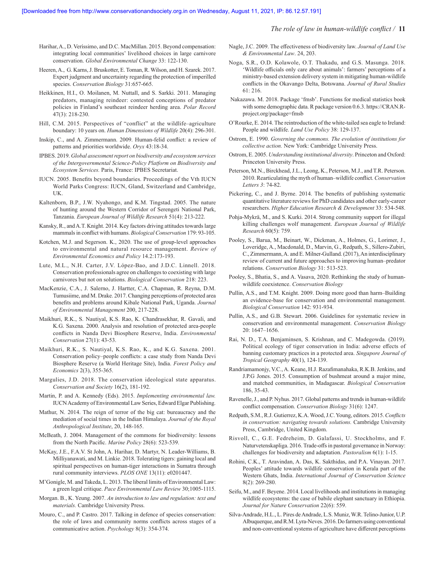#### *The role of law in human-wildlife conflict /* **11**

- Harihar, A., D. Veríssimo, and D.C. MacMillan. 2015. Beyond compensation: integrating local communities' livelihood choices in large carnivore conservation. *Global Environmental Change* 33: 122-130.
- Heeren, A., G. Karns, J. Bruskotter, E. Toman, R. Wilson, and H. Szarek. 2017. Expert judgment and uncertainty regarding the protection of imperilled species. *Conservation Biology* 31:657-665.
- Heikkinen, H.I., O. Moilanen, M. Nuttall, and S. Sarkki. 2011. Managing predators, managing reindeer: contested conceptions of predator policies in Finland's southeast reindeer herding area. *Polar Record* 47(3): 218-230.
- Hill, C.M. 2015. Perspectives of "conflict" at the wildlife–agriculture boundary: 10 years on. *Human Dimensions of Wildlife* 20(4): 296-301.
- Inskip, C., and A. Zimmermann. 2009. Human-felid conflict: a review of patterns and priorities worldwide. *Oryx* 43:18-34.
- IPBES. 2019. *Global assessment report on biodiversity and ecosystem services of the Intergovernmental Science-Policy Platform on Biodiversity and Ecosystem Services.* Paris, France: IPBES Secretariat.
- IUCN. 2005. Benefits beyond boundaries. Proceedings of the Vth IUCN World Parks Congress: IUCN, Gland, Switzerland and Cambridge, UK.
- Kaltenborn, B.P., J.W. Nyahongo, and K.M. Tingstad. 2005. The nature of hunting around the Western Corridor of Serengeti National Park, Tanzania. *European Journal of Wildlife Research* 51(4): 213-222.
- Kansky, R., and A.T. Knight. 2014. Key factors driving attitudes towards large mammals in conflict with humans. *Biological Conservation* 179: 93-105.
- Kotchen, M.J. and Segerson. K., 2020. The use of group-level approaches to environmental and natural resource management. *Review of Environmental Economics and Policy* 14.2:173-193.
- Lute, M.L., N.H. Carter, J.V. López-Bao, and J.D.C. Linnell. 2018. Conservation professionals agree on challenges to coexisting with large carnivores but not on solutions. *Biological Conservation* 218: 223.
- MacKenzie, C.A., J. Salerno, J. Hartter, C.A. Chapman, R. Reyna, D.M. Tumusiime, and M. Drake. 2017. Changing perceptions of protected area benefits and problems around Kibale National Park, Uganda. *Journal of Environmental Management* 200, 217-228.
- Maikhuri, R.K., S. Nautiyal, K.S. Rao, K. Chandrasekhar, R. Gavali, and K.G. Saxena. 2000. Analysis and resolution of protected area-people conflicts in Nanda Devi Biosphere Reserve, India. *Environmental Conservation* 27(1): 43-53.
- Maikhuri, R.K., S. Nautiyal, K.S. Rao, K., and K.G. Saxena. 2001. Conservation policy–people conflicts: a case study from Nanda Devi Biosphere Reserve (a World Heritage Site), India. *Forest Policy and Economics* 2(3), 355-365.
- Margulies, J.D. 2018. The conservation ideological state apparatus. *Conservation and Society* 16(2), 181-192.
- Martin, P. and A. Kennedy (Eds). 2015. *Implementing environmental law.*  IUCN Academy of Environmental Law Series, Edward Elgar Publishing.
- Mathur, N. 2014. The reign of terror of the big cat: bureaucracy and the mediation of social times in the Indian Himalaya. *Journal of the Royal Anthropological Institute*, 20, 148-165.
- McBeath, J. 2004. Management of the commons for biodiversity: lessons from the North Pacific. *Marine Policy* 28(6): 523-539.
- McKay, J.E., F.A.V. St John, A. Harihar, D. Martyr, N. Leader-Williams, B. Milliyanawati, and M. Linkie. 2018. Tolerating tigers: gaining local and spiritual perspectives on human-tiger interactions in Sumatra through rural community interviews. *PLOS ONE* 13(11): e0201447.
- M'Gonigle, M. and Takeda, L. 2013. The liberal limits of Environmental Law: a green legal critique. *Pace Environmental Law Review* 30;1005-1115.
- Morgan. B., K. Yeung. 2007. *An introduction to law and regulation: text and materials.* Cambridge University Press.
- Mouro, C., and P. Castro. 2017. Talking in defence of species conservation: the role of laws and community norms conflicts across stages of a communicative action. *Psychology* 8(3): 354-374.
- Nagle, J.C. 2009. The effectiveness of biodiversity law. *Journal of Land Use & Environmental Law*. 24, 203.
- Noga, S.R., O.D. Kolawole, O.T. Thakadu, and G.S. Masunga. 2018. 'Wildlife officials only care about animals': farmers' perceptions of a ministry-based extension delivery system in mitigating human-wildlife conflicts in the Okavango Delta, Botswana. *Journal of Rural Studies* 61: 216.
- Nakazawa. M. 2018. Package 'fmsb'. Functions for medical statistics book with some demographic data. R package version 0.6.3. https://CRAN.Rproject.org/package=fmsb
- O'Rourke, E. 2014. The reintroduction of the white-tailed sea eagle to Ireland: People and wildlife. *Land Use Policy* 38: 129-137.
- Ostrom, E. 1990. *Governing the commons. The evolution of institutions for collective action.* New York: Cambridge University Press.
- Ostrom, E. 2005. *Understanding institutional diversity*. Princeton and Oxford: Princeton University Press.
- Peterson, M.N., Birckhead, J.L., Leong, K., Peterson, M.J., and T.R. Peterson. 2010. Rearticulating the myth of human–wildlife conflict. *Conservation Letters 3*: 74-82.
- Pickering, C., and J. Byrne. 2014. The benefits of publishing systematic quantitative literature reviews for PhD candidates and other early-career researchers. *Higher Education Research & Development* 33: 534-548.
- Pohja-Mykrä, M., and S. Kurki. 2014. Strong community support for illegal killing challenges wolf management. *European Journal of Wildlife Research* 60(5): 759.
- Pooley, S., Barua, M., Beinart, W., Dickman, A., Holmes, G., Lorimer, J., Loveridge, A., Macdonald, D., Marvin, G., Redpath, S., Sillero-Zubiri, C., Zimmermann, A. and E. Milner-Gulland. (2017), An interdisciplinary review of current and future approaches to improving human–predator relations. *Conservation Biology* 31: 513-523.
- Pooley, S., Bhatia, S., and A. Vasava, 2020. Rethinking the study of humanwildlife coexistence. *Conservation Biology*
- Pullin, A.S., and T.M. Knight. 2009. Doing more good than harm–Building an evidence-base for conservation and environmental management. *Biological Conservation* 142: 931-934.
- Pullin, A.S., and G.B. Stewart. 2006. Guidelines for systematic review in conservation and environmental management. *Conservation Biology* 20: 1647–1656.
- Rai, N. D., T.A. Benjaminsen, S. Krishnan, and C. Madegowda. (2019). Political ecology of tiger conservation in India: adverse effects of banning customary practices in a protected area. *Singapore Journal of Tropical Geography* 40(1), 124-139.
- Randriamamonjy, V.C., A. Keane, H.J. Razafimanahaka, R.K.B. Jenkins, and J.P.G Jones. 2015. Consumption of bushmeat around a major mine, and matched communities, in Madagascar. *Biological Conservation* 186, 35-43.
- Ravenelle, J., and P. Nyhus. 2017. Global patterns and trends in human-wildlife conflict compensation. *Conservation Biology* 31(6): 1247.
- Redpath, S.M., R.J. Gutierrez, K.A. Wood, J.C. Young, editors. 2015. *Conflicts in conservation: navigating towards solutions.* Cambridge University Press, Cambridge, United Kingdom.
- Risvoll, C., G.E. Fedreheim, D. Galafassi, U. Stockholms, and F. Naturvetenskapliga. 2016. Trade-offs in pastoral governance in Norway: challenges for biodiversity and adaptation. *Pastoralism* 6(1): 1-15.
- Rohini, C.K., T. Aravindan, A. Das, K. Sakthidas, and P.A. Vinayan. 2017. Peoples' attitude towards wildlife conservation in Kerala part of the Western Ghats, India. *International Journal of Conservation Science* 8(2): 269-280.
- Seifu, M., and F. Beyene. 2014. Local livelihoods and institutions in managing wildlife ecosystems: the case of babile elephant sanctuary in Ethiopia. *Journal for Nature Conservation* 22(6): 559.
- Silva-Andrade, H.L., L. Pires de Andrade, L.S. Muniz, W.R. Telino-Junior, U.P. Albuquerque, and R.M. Lyra-Neves. 2016. Do farmers using conventional and non-conventional systems of agriculture have different perceptions